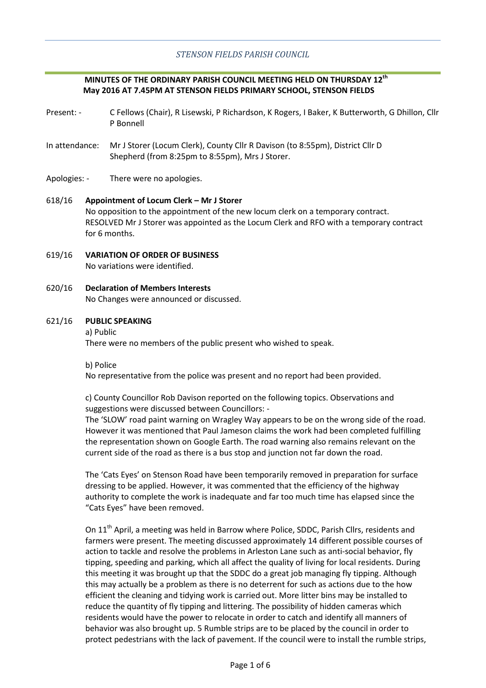## **MINUTES OF THE ORDINARY PARISH COUNCIL MEETING HELD ON THURSDAY 12th May 2016 AT 7.45PM AT STENSON FIELDS PRIMARY SCHOOL, STENSON FIELDS**

- Present: C Fellows (Chair), R Lisewski, P Richardson, K Rogers, I Baker, K Butterworth, G Dhillon, Cllr P Bonnell
- In attendance: Mr J Storer (Locum Clerk), County Cllr R Davison (to 8:55pm), District Cllr D Shepherd (from 8:25pm to 8:55pm), Mrs J Storer.
- Apologies: There were no apologies.

## 618/16 **Appointment of Locum Clerk – Mr J Storer** No opposition to the appointment of the new locum clerk on a temporary contract. RESOLVED Mr J Storer was appointed as the Locum Clerk and RFO with a temporary contract for 6 months.

- 619/16 **VARIATION OF ORDER OF BUSINESS** No variations were identified.
- 620/16 **Declaration of Members Interests** No Changes were announced or discussed.

#### 621/16 **PUBLIC SPEAKING**

#### a) Public

There were no members of the public present who wished to speak.

b) Police

No representative from the police was present and no report had been provided.

c) County Councillor Rob Davison reported on the following topics. Observations and suggestions were discussed between Councillors: -

The 'SLOW' road paint warning on Wragley Way appears to be on the wrong side of the road. However it was mentioned that Paul Jameson claims the work had been completed fulfilling the representation shown on Google Earth. The road warning also remains relevant on the current side of the road as there is a bus stop and junction not far down the road.

The 'Cats Eyes' on Stenson Road have been temporarily removed in preparation for surface dressing to be applied. However, it was commented that the efficiency of the highway authority to complete the work is inadequate and far too much time has elapsed since the "Cats Eyes" have been removed.

On 11<sup>th</sup> April, a meeting was held in Barrow where Police, SDDC, Parish Cllrs, residents and farmers were present. The meeting discussed approximately 14 different possible courses of action to tackle and resolve the problems in Arleston Lane such as anti-social behavior, fly tipping, speeding and parking, which all affect the quality of living for local residents. During this meeting it was brought up that the SDDC do a great job managing fly tipping. Although this may actually be a problem as there is no deterrent for such as actions due to the how efficient the cleaning and tidying work is carried out. More litter bins may be installed to reduce the quantity of fly tipping and littering. The possibility of hidden cameras which residents would have the power to relocate in order to catch and identify all manners of behavior was also brought up. 5 Rumble strips are to be placed by the council in order to protect pedestrians with the lack of pavement. If the council were to install the rumble strips,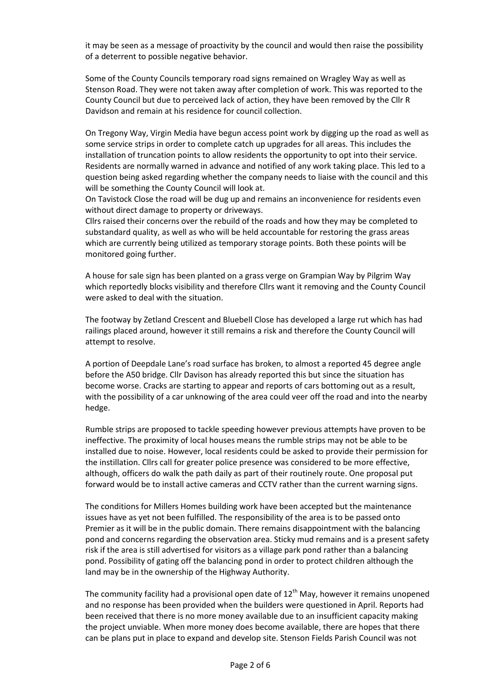it may be seen as a message of proactivity by the council and would then raise the possibility of a deterrent to possible negative behavior.

Some of the County Councils temporary road signs remained on Wragley Way as well as Stenson Road. They were not taken away after completion of work. This was reported to the County Council but due to perceived lack of action, they have been removed by the Cllr R Davidson and remain at his residence for council collection.

On Tregony Way, Virgin Media have begun access point work by digging up the road as well as some service strips in order to complete catch up upgrades for all areas. This includes the installation of truncation points to allow residents the opportunity to opt into their service. Residents are normally warned in advance and notified of any work taking place. This led to a question being asked regarding whether the company needs to liaise with the council and this will be something the County Council will look at.

On Tavistock Close the road will be dug up and remains an inconvenience for residents even without direct damage to property or driveways.

Cllrs raised their concerns over the rebuild of the roads and how they may be completed to substandard quality, as well as who will be held accountable for restoring the grass areas which are currently being utilized as temporary storage points. Both these points will be monitored going further.

A house for sale sign has been planted on a grass verge on Grampian Way by Pilgrim Way which reportedly blocks visibility and therefore Cllrs want it removing and the County Council were asked to deal with the situation.

The footway by Zetland Crescent and Bluebell Close has developed a large rut which has had railings placed around, however it still remains a risk and therefore the County Council will attempt to resolve.

A portion of Deepdale Lane's road surface has broken, to almost a reported 45 degree angle before the A50 bridge. Cllr Davison has already reported this but since the situation has become worse. Cracks are starting to appear and reports of cars bottoming out as a result, with the possibility of a car unknowing of the area could veer off the road and into the nearby hedge.

Rumble strips are proposed to tackle speeding however previous attempts have proven to be ineffective. The proximity of local houses means the rumble strips may not be able to be installed due to noise. However, local residents could be asked to provide their permission for the instillation. Cllrs call for greater police presence was considered to be more effective, although, officers do walk the path daily as part of their routinely route. One proposal put forward would be to install active cameras and CCTV rather than the current warning signs.

The conditions for Millers Homes building work have been accepted but the maintenance issues have as yet not been fulfilled. The responsibility of the area is to be passed onto Premier as it will be in the public domain. There remains disappointment with the balancing pond and concerns regarding the observation area. Sticky mud remains and is a present safety risk if the area is still advertised for visitors as a village park pond rather than a balancing pond. Possibility of gating off the balancing pond in order to protect children although the land may be in the ownership of the Highway Authority.

The community facility had a provisional open date of  $12<sup>th</sup>$  May, however it remains unopened and no response has been provided when the builders were questioned in April. Reports had been received that there is no more money available due to an insufficient capacity making the project unviable. When more money does become available, there are hopes that there can be plans put in place to expand and develop site. Stenson Fields Parish Council was not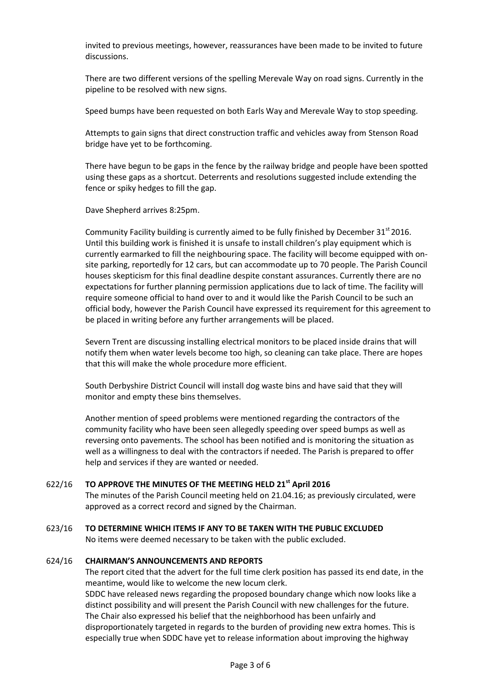invited to previous meetings, however, reassurances have been made to be invited to future discussions.

There are two different versions of the spelling Merevale Way on road signs. Currently in the pipeline to be resolved with new signs.

Speed bumps have been requested on both Earls Way and Merevale Way to stop speeding.

Attempts to gain signs that direct construction traffic and vehicles away from Stenson Road bridge have yet to be forthcoming.

There have begun to be gaps in the fence by the railway bridge and people have been spotted using these gaps as a shortcut. Deterrents and resolutions suggested include extending the fence or spiky hedges to fill the gap.

Dave Shepherd arrives 8:25pm.

Community Facility building is currently aimed to be fully finished by December  $31^{st}$  2016. Until this building work is finished it is unsafe to install children's play equipment which is currently earmarked to fill the neighbouring space. The facility will become equipped with onsite parking, reportedly for 12 cars, but can accommodate up to 70 people. The Parish Council houses skepticism for this final deadline despite constant assurances. Currently there are no expectations for further planning permission applications due to lack of time. The facility will require someone official to hand over to and it would like the Parish Council to be such an official body, however the Parish Council have expressed its requirement for this agreement to be placed in writing before any further arrangements will be placed.

Severn Trent are discussing installing electrical monitors to be placed inside drains that will notify them when water levels become too high, so cleaning can take place. There are hopes that this will make the whole procedure more efficient.

South Derbyshire District Council will install dog waste bins and have said that they will monitor and empty these bins themselves.

Another mention of speed problems were mentioned regarding the contractors of the community facility who have been seen allegedly speeding over speed bumps as well as reversing onto pavements. The school has been notified and is monitoring the situation as well as a willingness to deal with the contractors if needed. The Parish is prepared to offer help and services if they are wanted or needed.

#### 622/16 **TO APPROVE THE MINUTES OF THE MEETING HELD 21st April 2016**

The minutes of the Parish Council meeting held on 21.04.16; as previously circulated, were approved as a correct record and signed by the Chairman.

#### 623/16 **TO DETERMINE WHICH ITEMS IF ANY TO BE TAKEN WITH THE PUBLIC EXCLUDED**

No items were deemed necessary to be taken with the public excluded.

#### 624/16 **CHAIRMAN'S ANNOUNCEMENTS AND REPORTS**

The report cited that the advert for the full time clerk position has passed its end date, in the meantime, would like to welcome the new locum clerk.

SDDC have released news regarding the proposed boundary change which now looks like a distinct possibility and will present the Parish Council with new challenges for the future. The Chair also expressed his belief that the neighborhood has been unfairly and disproportionately targeted in regards to the burden of providing new extra homes. This is especially true when SDDC have yet to release information about improving the highway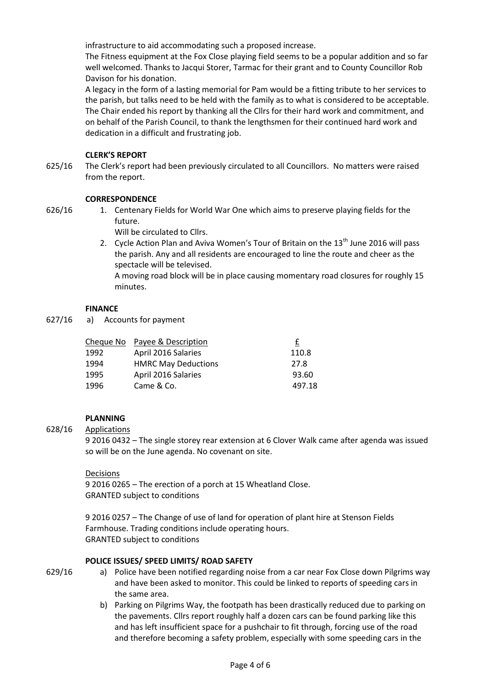infrastructure to aid accommodating such a proposed increase.

The Fitness equipment at the Fox Close playing field seems to be a popular addition and so far well welcomed. Thanks to Jacqui Storer, Tarmac for their grant and to County Councillor Rob Davison for his donation.

A legacy in the form of a lasting memorial for Pam would be a fitting tribute to her services to the parish, but talks need to be held with the family as to what is considered to be acceptable. The Chair ended his report by thanking all the Cllrs for their hard work and commitment, and on behalf of the Parish Council, to thank the lengthsmen for their continued hard work and dedication in a difficult and frustrating job.

## **CLERK'S REPORT**

625/16 The Clerk's report had been previously circulated to all Councillors. No matters were raised from the report.

## **CORRESPONDENCE**

- 626/16
- 1. Centenary Fields for World War One which aims to preserve playing fields for the future.

Will be circulated to Cllrs.

2. Cycle Action Plan and Aviva Women's Tour of Britain on the  $13<sup>th</sup>$  June 2016 will pass the parish. Any and all residents are encouraged to line the route and cheer as the spectacle will be televised.

A moving road block will be in place causing momentary road closures for roughly 15 minutes.

## **FINANCE**

627/16 a) Accounts for payment

|      | Cheque No Payee & Description | £      |
|------|-------------------------------|--------|
| 1992 | April 2016 Salaries           | 110.8  |
| 1994 | <b>HMRC May Deductions</b>    | 27.8   |
| 1995 | April 2016 Salaries           | 93.60  |
| 1996 | Came & Co.                    | 497.18 |

## **PLANNING**

#### 628/16 Applications

9 2016 0432 – The single storey rear extension at 6 Clover Walk came after agenda was issued so will be on the June agenda. No covenant on site.

Decisions 9 2016 0265 – The erection of a porch at 15 Wheatland Close. GRANTED subject to conditions

9 2016 0257 – The Change of use of land for operation of plant hire at Stenson Fields Farmhouse. Trading conditions include operating hours. GRANTED subject to conditions

## **POLICE ISSUES/ SPEED LIMITS/ ROAD SAFETY**

- 629/16
- a) Police have been notified regarding noise from a car near Fox Close down Pilgrims way and have been asked to monitor. This could be linked to reports of speeding cars in the same area.
- b) Parking on Pilgrims Way, the footpath has been drastically reduced due to parking on the pavements. Cllrs report roughly half a dozen cars can be found parking like this and has left insufficient space for a pushchair to fit through, forcing use of the road and therefore becoming a safety problem, especially with some speeding cars in the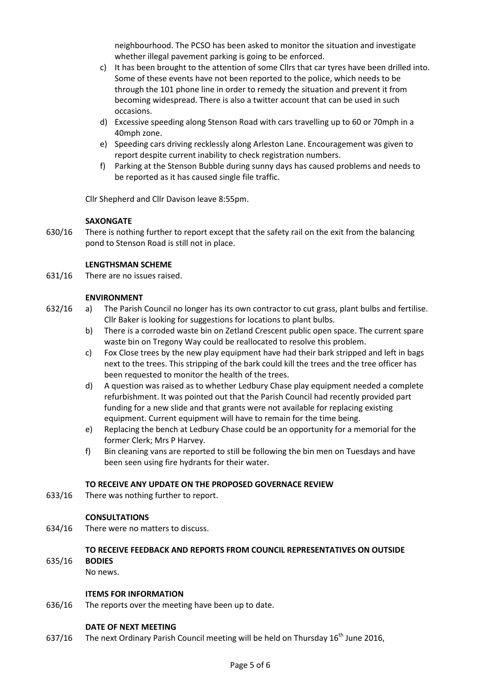neighbourhood. The PCSO has been asked to monitor the situation and investigate whether illegal pavement parking is going to be enforced.

- c) It has been brought to the attention of some Cllrs that car tyres have been drilled into. Some of these events have not been reported to the police, which needs to be through the 101 phone line in order to remedy the situation and prevent it from becoming widespread. There is also a twitter account that can be used in such occasions.
- d) Excessive speeding along Stenson Road with cars travelling up to 60 or 70mph in a 40mph zone.
- e) Speeding cars driving recklessly along Arleston Lane. Encouragement was given to report despite current inability to check registration numbers.
- f) Parking at the Stenson Bubble during sunny days has caused problems and needs to be reported as it has caused single file traffic.

Cllr Shepherd and Cllr Davison leave 8:55pm.

## **SAXONGATE**

630/16 There is nothing further to report except that the safety rail on the exit from the balancing pond to Stenson Road is still not in place.

## **LENGTHSMAN SCHEME**

631/16 There are no issues raised.

## **ENVIRONMENT**

- 632/16 a) The Parish Council no longer has its own contractor to cut grass, plant bulbs and fertilise. Cllr Baker is looking for suggestions for locations to plant bulbs.
	- b) There is a corroded waste bin on Zetland Crescent public open space. The current spare waste bin on Tregony Way could be reallocated to resolve this problem.
	- c) Fox Close trees by the new play equipment have had their bark stripped and left in bags next to the trees. This stripping of the bark could kill the trees and the tree officer has been requested to monitor the health of the trees.
	- d) A question was raised as to whether Ledbury Chase play equipment needed a complete refurbishment. It was pointed out that the Parish Council had recently provided part funding for a new slide and that grants were not available for replacing existing equipment. Current equipment will have to remain for the time being.
	- e) Replacing the bench at Ledbury Chase could be an opportunity for a memorial for the former Clerk; Mrs P Harvey.
	- f) Bin cleaning vans are reported to still be following the bin men on Tuesdays and have been seen using fire hydrants for their water.

## **TO RECEIVE ANY UPDATE ON THE PROPOSED GOVERNACE REVIEW**

633/16 There was nothing further to report.

## **CONSULTATIONS**

634/16 There were no matters to discuss.

# **TO RECEIVE FEEDBACK AND REPORTS FROM COUNCIL REPRESENTATIVES ON OUTSIDE**

635/16 **BODIES** No news.

## **ITEMS FOR INFORMATION**

636/16 The reports over the meeting have been up to date.

## **DATE OF NEXT MEETING**

637/16 The next Ordinary Parish Council meeting will be held on Thursday  $16<sup>th</sup>$  June 2016,